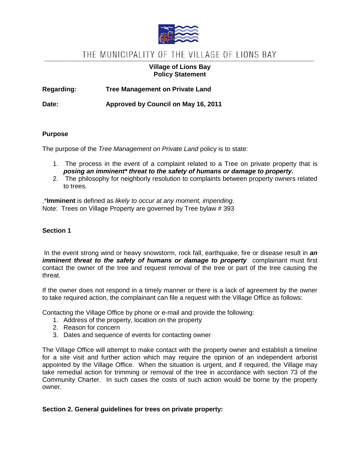

# THE MUNICIPALITY OF THE VILLAGE OF LIONS BAY

# **Village of Lions Bay Policy Statement**

**Regarding: Tree Management on Private Land**

**Date: Approved by Council on May 16, 2011**

# **Purpose**

The purpose of the *Tree Management on Private Land* policy is to state:

- 1. The process in the event of a complaint related to a Tree on private property that is *posing an imminent\* threat to the safety of humans or damage to property.*
- 2. The philosophy for neighborly resolution to complaints between property owners related to trees.

.\***Imminent** is defined as *likely to occur at any moment, impending*. Note: Trees on Village Property are governed by Tree bylaw # 393

### **Section 1**

In the event strong wind or heavy snowstorm, rock fall, earthquake, fire or disease result in *an imminent threat to the safety of humans or damage to property* complainant must first contact the owner of the tree and request removal of the tree or part of the tree causing the threat.

If the owner does not respond in a timely manner or there is a lack of agreement by the owner to take required action, the complainant can file a request with the Village Office as follows:

Contacting the Village Office by phone or e-mail and provide the following:

- 1. Address of the property, location on the property
- 2. Reason for concern
- 3. Dates and sequence of events for contacting owner

The Village Office will attempt to make contact with the property owner and establish a timeline for a site visit and further action which may require the opinion of an independent arborist appointed by the Village Office. When the situation is urgent, and if required, the Village may take remedial action for trimming or removal of the tree in accordance with section 73 of the Community Charter. In such cases the costs of such action would be borne by the property owner.

# **Section 2. General guidelines for trees on private property:**